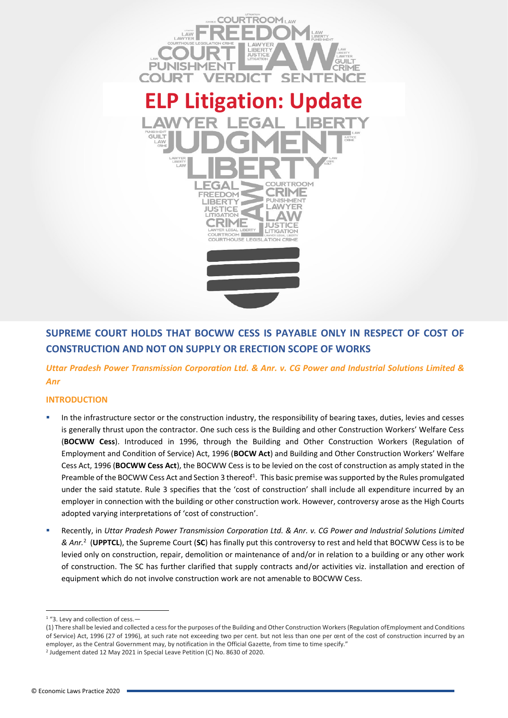

# **SUPREME COURT HOLDS THAT BOCWW CESS IS PAYABLE ONLY IN RESPECT OF COST OF CONSTRUCTION AND NOT ON SUPPLY OR ERECTION SCOPE OF WORKS**

*Uttar Pradesh Power Transmission Corporation Ltd. & Anr. v. CG Power and Industrial Solutions Limited & Anr*

## **INTRODUCTION**

- In the infrastructure sector or the construction industry, the responsibility of bearing taxes, duties, levies and cesses is generally thrust upon the contractor. One such cess is the Building and other Construction Workers' Welfare Cess (**BOCWW Cess**). Introduced in 1996, through the Building and Other Construction Workers (Regulation of Employment and Condition of Service) Act, 1996 (**BOCW Act**) and Building and Other Construction Workers' Welfare Cess Act, 1996 (**BOCWW Cess Act**), the BOCWW Cess is to be levied on the cost of construction as amply stated in the Preamble of the BOCWW Cess Act and Section 3 thereof<sup>1</sup>. This basic premise was supported by the Rules promulgated under the said statute. Rule 3 specifies that the 'cost of construction' shall include all expenditure incurred by an employer in connection with the building or other construction work. However, controversy arose as the High Courts adopted varying interpretations of 'cost of construction'.
- Recently, in *Uttar Pradesh Power Transmission Corporation Ltd. & Anr. v. CG Power and Industrial Solutions Limited & Anr.*<sup>2</sup> (**UPPTCL**), the Supreme Court (**SC**) has finally put this controversy to rest and held that BOCWW Cess is to be levied only on construction, repair, demolition or maintenance of and/or in relation to a building or any other work of construction. The SC has further clarified that supply contracts and/or activities viz. installation and erection of equipment which do not involve construction work are not amenable to BOCWW Cess.

<sup>&</sup>lt;sup>1</sup> "3. Levy and collection of cess.-

<sup>(1)</sup> There shall be levied and collected a cess for the purposes of the Building and Other Construction Workers (Regulation ofEmployment and Conditions of Service) Act, 1996 (27 of 1996), at such rate not exceeding two per cent. but not less than one per cent of the cost of construction incurred by an employer, as the Central Government may, by notification in the Official Gazette, from time to time specify."

<sup>&</sup>lt;sup>2</sup> Judgement dated 12 May 2021 in Special Leave Petition (C) No. 8630 of 2020.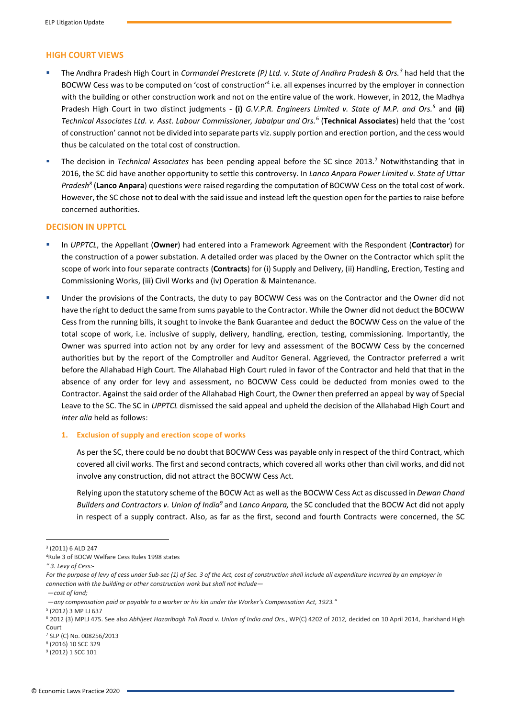## **HIGH COURT VIEWS**

- The Andhra Pradesh High Court in *Cormandel Prestcrete (P) Ltd. v. State of Andhra Pradesh & Ors.*<sup>3</sup> had held that the BOCWW Cess was to be computed on 'cost of construction'<sup>4</sup> i.e. all expenses incurred by the employer in connection with the building or other construction work and not on the entire value of the work. However, in 2012, the Madhya Pradesh High Court in two distinct judgments - **(i)** *G.V.P.R. Engineers Limited v. State of M.P. and Ors.<sup>5</sup>* and **(ii)**  *Technical Associates Ltd. v. Asst. Labour Commissioner, Jabalpur and Ors.*<sup>6</sup> (**Technical Associates**) held that the 'cost of construction' cannot not be divided into separate parts viz. supply portion and erection portion, and the cess would thus be calculated on the total cost of construction.
- The decision in *Technical Associates* has been pending appeal before the SC since 2013.<sup>7</sup> Notwithstanding that in 2016, the SC did have another opportunity to settle this controversy. In *Lanco Anpara Power Limited v. State of Uttar Pradesh<sup>8</sup>* (**Lanco Anpara**) questions were raised regarding the computation of BOCWW Cess on the total cost of work. However, the SC chose not to deal with the said issue and instead left the question open for the parties to raise before concerned authorities.

#### **DECISION IN UPPTCL**

- In *UPPTCL*, the Appellant (Owner) had entered into a Framework Agreement with the Respondent (Contractor) for the construction of a power substation. A detailed order was placed by the Owner on the Contractor which split the scope of work into four separate contracts (**Contracts**) for (i) Supply and Delivery, (ii) Handling, Erection, Testing and Commissioning Works, (iii) Civil Works and (iv) Operation & Maintenance.
- Under the provisions of the Contracts, the duty to pay BOCWW Cess was on the Contractor and the Owner did not have the right to deduct the same from sums payable to the Contractor. While the Owner did not deduct the BOCWW Cess from the running bills, it sought to invoke the Bank Guarantee and deduct the BOCWW Cess on the value of the total scope of work, i.e. inclusive of supply, delivery, handling, erection, testing, commissioning. Importantly, the Owner was spurred into action not by any order for levy and assessment of the BOCWW Cess by the concerned authorities but by the report of the Comptroller and Auditor General. Aggrieved, the Contractor preferred a writ before the Allahabad High Court. The Allahabad High Court ruled in favor of the Contractor and held that that in the absence of any order for levy and assessment, no BOCWW Cess could be deducted from monies owed to the Contractor. Against the said order of the Allahabad High Court, the Owner then preferred an appeal by way of Special Leave to the SC. The SC in *UPPTCL* dismissed the said appeal and upheld the decision of the Allahabad High Court and *inter alia* held as follows:

#### **1. Exclusion of supply and erection scope of works**

As per the SC, there could be no doubt that BOCWW Cess was payable only in respect of the third Contract, which covered all civil works. The first and second contracts, which covered all works other than civil works, and did not involve any construction, did not attract the BOCWW Cess Act.

Relying upon the statutory scheme of the BOCW Act as well as the BOCWW Cess Act as discussed in *Dewan Chand Builders and Contractors v. Union of India<sup>9</sup>* and *Lanco Anpara,* the SC concluded that the BOCW Act did not apply in respect of a supply contract. Also, as far as the first, second and fourth Contracts were concerned, the SC

*—cost of land;*

<sup>3</sup> (2011) 6 ALD 247

<sup>4</sup>Rule 3 of BOCW Welfare Cess Rules 1998 states

*<sup>&</sup>quot; 3. Levy of Cess:-*

For the purpose of levy of cess under Sub-sec (1) of Sec. 3 of the Act, cost of construction shall include all expenditure incurred by an employer in *connection with the building or other construction work but shall not include—*

*<sup>—</sup>any compensation paid or payable to a worker or his kin under the Worker's Compensation Act, 1923."*

<sup>5</sup> (2012) 3 MP LJ 637

<sup>6</sup> 2012 (3) MPLJ 475. See also *Abhijeet Hazaribagh Toll Road v. Union of India and Ors.*, WP(C) 4202 of 2012*,* decided on 10 April 2014, Jharkhand High Court

<sup>7</sup> SLP (C) No. 008256/2013

<sup>8</sup> (2016) 10 SCC 329

<sup>9</sup> (2012) 1 SCC 101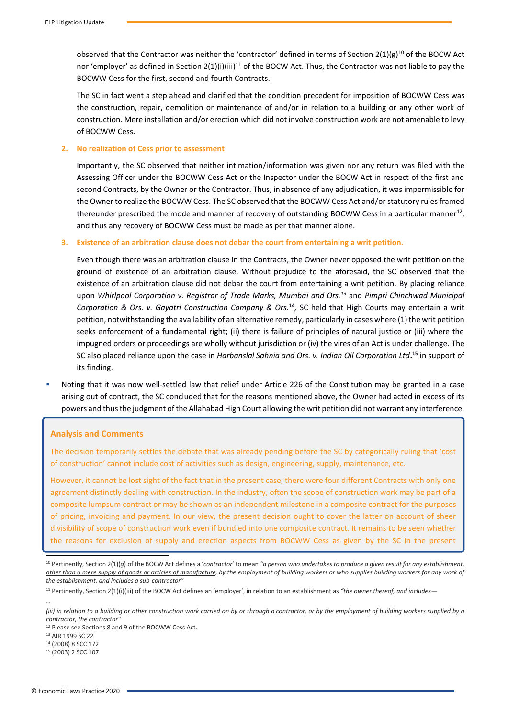observed that the Contractor was neither the 'contractor' defined in terms of Section  $2(1)(g)^{10}$  of the BOCW Act nor 'employer' as defined in Section  $2(1)(i)(iii)^{11}$  of the BOCW Act. Thus, the Contractor was not liable to pay the BOCWW Cess for the first, second and fourth Contracts.

The SC in fact went a step ahead and clarified that the condition precedent for imposition of BOCWW Cess was the construction, repair, demolition or maintenance of and/or in relation to a building or any other work of construction. Mere installation and/or erection which did not involve construction work are not amenable to levy of BOCWW Cess.

#### **2. No realization of Cess prior to assessment**

Importantly, the SC observed that neither intimation/information was given nor any return was filed with the Assessing Officer under the BOCWW Cess Act or the Inspector under the BOCW Act in respect of the first and second Contracts, by the Owner or the Contractor. Thus, in absence of any adjudication, it was impermissible for the Owner to realize the BOCWW Cess. The SC observed that the BOCWW Cess Act and/or statutory rules framed thereunder prescribed the mode and manner of recovery of outstanding BOCWW Cess in a particular manner<sup>12</sup>, and thus any recovery of BOCWW Cess must be made as per that manner alone.

#### **3. Existence of an arbitration clause does not debar the court from entertaining a writ petition.**

Even though there was an arbitration clause in the Contracts, the Owner never opposed the writ petition on the ground of existence of an arbitration clause. Without prejudice to the aforesaid, the SC observed that the existence of an arbitration clause did not debar the court from entertaining a writ petition. By placing reliance upon *Whirlpool Corporation v. Registrar of Trade Marks, Mumbai and Ors.<sup>13</sup>* and *Pimpri Chinchwad Municipal*  Corporation & Ors. v. Gayatri Construction Company & Ors.<sup>14</sup>, SC held that High Courts may entertain a writ petition, notwithstanding the availability of an alternative remedy, particularly in cases where (1) the writ petition seeks enforcement of a fundamental right; (ii) there is failure of principles of natural justice or (iii) where the impugned orders or proceedings are wholly without jurisdiction or (iv) the vires of an Act is under challenge. The SC also placed reliance upon the case in *Harbanslal Sahnia and Ors. v. Indian Oil Corporation Ltd***. <sup>15</sup>** in support of its finding.

Noting that it was now well-settled law that relief under Article 226 of the Constitution may be granted in a case arising out of contract, the SC concluded that for the reasons mentioned above, the Owner had acted in excess of its powers and thus the judgment of the Allahabad High Court allowing the writ petition did not warrant any interference.

#### **Analysis and Comments**

The decision temporarily settles the debate that was already pending before the SC by categorically ruling that 'cost of construction' cannot include cost of activities such as design, engineering, supply, maintenance, etc.

However, it cannot be lost sight of the fact that in the present case, there were four different Contracts with only one agreement distinctly dealing with construction. In the industry, often the scope of construction work may be part of a composite lumpsum contract or may be shown as an independent milestone in a composite contract for the purposes of pricing, invoicing and payment. In our view, the present decision ought to cover the latter on account of sheer divisibility of scope of construction work even if bundled into one composite contract. It remains to be seen whether the reasons for exclusion of supply and erection aspects from BOCWW Cess as given by the SC in the present

*…*

<sup>10</sup> Pertinently, Section 2(1)(*g*) of the BOCW Act defines a '*contractor*' to mean *"a person who undertakes to produce a given result for any establishment, other than a mere supply of goods or articles of manufacture, by the employment of building workers or who supplies building workers for any work of the establishment, and includes a sub-contractor"*

<sup>11</sup> Pertinently, Section 2(1)(i)(iii) of the BOCW Act defines an 'employer', in relation to an establishment as *"the owner thereof, and includes—*

*<sup>(</sup>iii) in relation to a building or other construction work carried on by or through a contractor, or by the employment of building workers supplied by a contractor, the contractor"*

<sup>12</sup> Please see Sections 8 and 9 of the BOCWW Cess Act.

<sup>13</sup> AIR 1999 SC 22

<sup>14</sup> (2008) 8 SCC 172

<sup>15</sup> (2003) 2 SCC 107